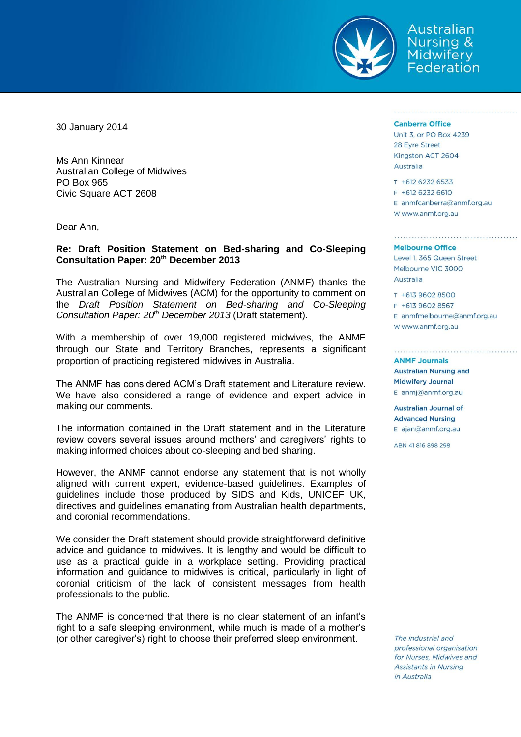

Australian Nursing & Midwifery Federation

30 January 2014

Ms Ann Kinnear Australian College of Midwives PO Box 965 Civic Square ACT 2608

Dear Ann,

# **Re: Draft Position Statement on Bed-sharing and Co-Sleeping Consultation Paper: 20th December 2013**

The Australian Nursing and Midwifery Federation (ANMF) thanks the Australian College of Midwives (ACM) for the opportunity to comment on the *Draft Position Statement on Bed-sharing and Co-Sleeping Consultation Paper: 20th December 2013* (Draft statement).

With a membership of over 19,000 registered midwives, the ANMF through our State and Territory Branches, represents a significant proportion of practicing registered midwives in Australia.

The ANMF has considered ACM's Draft statement and Literature review. We have also considered a range of evidence and expert advice in making our comments.

The information contained in the Draft statement and in the Literature review covers several issues around mothers' and caregivers' rights to making informed choices about co-sleeping and bed sharing.

However, the ANMF cannot endorse any statement that is not wholly aligned with current expert, evidence-based guidelines. Examples of guidelines include those produced by SIDS and Kids, UNICEF UK, directives and guidelines emanating from Australian health departments, and coronial recommendations.

We consider the Draft statement should provide straightforward definitive advice and guidance to midwives. It is lengthy and would be difficult to use as a practical guide in a workplace setting. Providing practical information and guidance to midwives is critical, particularly in light of coronial criticism of the lack of consistent messages from health professionals to the public.

The ANMF is concerned that there is no clear statement of an infant's right to a safe sleeping environment, while much is made of a mother's (or other caregiver's) right to choose their preferred sleep environment.

### **Canberra Office**

Unit 3, or PO Box 4239 28 Eyre Street Kingston ACT 2604 Australia

T +612 6232 6533 F +612 6232 6610 E anmfcanberra@anmf.org.au w www.anmf.org.au

## **Melbourne Office**

Level 1, 365 Queen Street Melbourne VIC 3000 Australia

T +613 9602 8500

F +613 9602 8567 E anmfmelbourne@anmf.org.au W www.anmf.org.au

## **ANMF Journals**

**Australian Nursing and Midwifery Journal** E anmj@anmf.org.au

**Australian Journal of Advanced Nursing** E ajan@anmf.org.au

ABN 41 816 898 298

The industrial and professional organisation for Nurses, Midwives and **Assistants in Nursing** in Australia